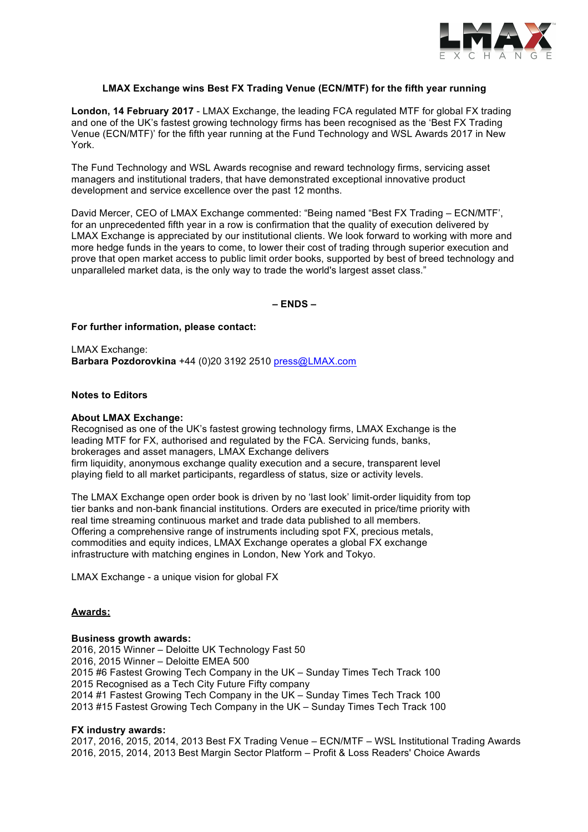

## **LMAX Exchange wins Best FX Trading Venue (ECN/MTF) for the fifth year running**

**London, 14 February 2017** - LMAX Exchange, the leading FCA regulated MTF for global FX trading and one of the UK's fastest growing technology firms has been recognised as the 'Best FX Trading Venue (ECN/MTF)' for the fifth year running at the Fund Technology and WSL Awards 2017 in New York.

The Fund Technology and WSL Awards recognise and reward technology firms, servicing asset managers and institutional traders, that have demonstrated exceptional innovative product development and service excellence over the past 12 months.

David Mercer, CEO of LMAX Exchange commented: "Being named "Best FX Trading – ECN/MTF', for an unprecedented fifth year in a row is confirmation that the quality of execution delivered by LMAX Exchange is appreciated by our institutional clients. We look forward to working with more and more hedge funds in the years to come, to lower their cost of trading through superior execution and prove that open market access to public limit order books, supported by best of breed technology and unparalleled market data, is the only way to trade the world's largest asset class."

**– ENDS –**

**For further information, please contact:** 

LMAX Exchange: **Barbara Pozdorovkina** +44 (0)20 3192 2510 press@LMAX.com

### **Notes to Editors**

#### **About LMAX Exchange:**

Recognised as one of the UK's fastest growing technology firms, LMAX Exchange is the leading MTF for FX, authorised and regulated by the FCA. Servicing funds, banks, brokerages and asset managers, LMAX Exchange delivers firm liquidity, anonymous exchange quality execution and a secure, transparent level playing field to all market participants, regardless of status, size or activity levels.

The LMAX Exchange open order book is driven by no 'last look' limit-order liquidity from top tier banks and non-bank financial institutions. Orders are executed in price/time priority with real time streaming continuous market and trade data published to all members. Offering a comprehensive range of instruments including spot FX, precious metals, commodities and equity indices, LMAX Exchange operates a global FX exchange infrastructure with matching engines in London, New York and Tokyo.

LMAX Exchange - a unique vision for global FX

### **Awards:**

#### **Business growth awards:**

2016, 2015 Winner – Deloitte UK Technology Fast 50 2016, 2015 Winner – Deloitte EMEA 500 2015 #6 Fastest Growing Tech Company in the UK – Sunday Times Tech Track 100 2015 Recognised as a Tech City Future Fifty company 2014 #1 Fastest Growing Tech Company in the UK – Sunday Times Tech Track 100 2013 #15 Fastest Growing Tech Company in the UK – Sunday Times Tech Track 100

### **FX industry awards:**

2017, 2016, 2015, 2014, 2013 Best FX Trading Venue – ECN/MTF – WSL Institutional Trading Awards 2016, 2015, 2014, 2013 Best Margin Sector Platform – Profit & Loss Readers' Choice Awards